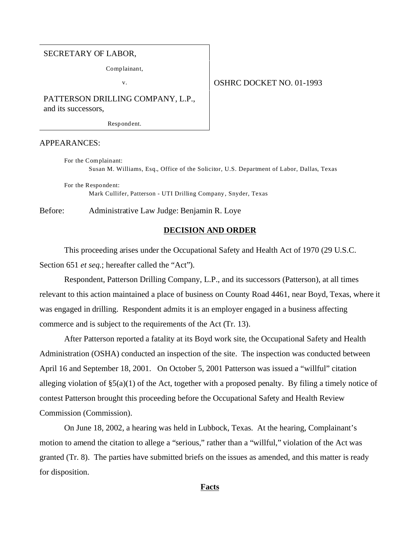#### SECRETARY OF LABOR,

Complainant,

# v. Solution of the SHRC DOCKET NO. 01-1993

PATTERSON DRILLING COMPANY, L.P., and its successors,

Respondent.

## APPEARANCES:

For the Complainant: Susan M. Williams, Esq., Office of the Solicitor, U.S. Department of Labor, Dallas, Texas

For the Respondent: Mark Cullifer, Patterson - UTI Drilling Company, Snyder, Texas

Before: Administrative Law Judge: Benjamin R. Loye

## **DECISION AND ORDER**

This proceeding arises under the Occupational Safety and Health Act of 1970 (29 U.S.C. Section 651 *et seq.*; hereafter called the "Act").

Respondent, Patterson Drilling Company, L.P., and its successors (Patterson), at all times relevant to this action maintained a place of business on County Road 4461, near Boyd, Texas, where it was engaged in drilling. Respondent admits it is an employer engaged in a business affecting commerce and is subject to the requirements of the Act (Tr. 13).

After Patterson reported a fatality at its Boyd work site, the Occupational Safety and Health Administration (OSHA) conducted an inspection of the site. The inspection was conducted between April 16 and September 18, 2001. On October 5, 2001 Patterson was issued a "willful" citation alleging violation of §5(a)(1) of the Act, together with a proposed penalty. By filing a timely notice of contest Patterson brought this proceeding before the Occupational Safety and Health Review Commission (Commission).

On June 18, 2002, a hearing was held in Lubbock, Texas. At the hearing, Complainant's motion to amend the citation to allege a "serious," rather than a "willful," violation of the Act was granted (Tr. 8). The parties have submitted briefs on the issues as amended, and this matter is ready for disposition.

## **Facts**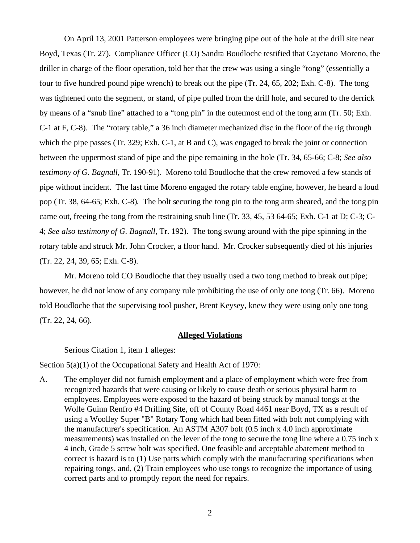On April 13, 2001 Patterson employees were bringing pipe out of the hole at the drill site near Boyd, Texas (Tr. 27). Compliance Officer (CO) Sandra Boudloche testified that Cayetano Moreno, the driller in charge of the floor operation, told her that the crew was using a single "tong" (essentially a four to five hundred pound pipe wrench) to break out the pipe (Tr. 24, 65, 202; Exh. C-8). The tong was tightened onto the segment, or stand, of pipe pulled from the drill hole, and secured to the derrick by means of a "snub line" attached to a "tong pin" in the outermost end of the tong arm (Tr. 50; Exh. C-1 at F, C-8). The "rotary table," a 36 inch diameter mechanized disc in the floor of the rig through which the pipe passes (Tr. 329; Exh. C-1, at B and C), was engaged to break the joint or connection between the uppermost stand of pipe and the pipe remaining in the hole (Tr. 34, 65-66; C-8; *See also testimony of G. Bagnall*, Tr. 190-91). Moreno told Boudloche that the crew removed a few stands of pipe without incident. The last time Moreno engaged the rotary table engine, however, he heard a loud pop (Tr. 38, 64-65; Exh. C-8). The bolt securing the tong pin to the tong arm sheared, and the tong pin came out, freeing the tong from the restraining snub line (Tr. 33, 45, 53 64-65; Exh. C-1 at D; C-3; C-4; *See also testimony of G. Bagnall*, Tr. 192). The tong swung around with the pipe spinning in the rotary table and struck Mr. John Crocker, a floor hand. Mr. Crocker subsequently died of his injuries (Tr. 22, 24, 39, 65; Exh. C-8).

Mr. Moreno told CO Boudloche that they usually used a two tong method to break out pipe; however, he did not know of any company rule prohibiting the use of only one tong (Tr. 66). Moreno told Boudloche that the supervising tool pusher, Brent Keysey, knew they were using only one tong (Tr. 22, 24, 66).

#### **Alleged Violations**

Serious Citation 1, item 1 alleges:

Section 5(a)(1) of the Occupational Safety and Health Act of 1970:

A. The employer did not furnish employment and a place of employment which were free from recognized hazards that were causing or likely to cause death or serious physical harm to employees. Employees were exposed to the hazard of being struck by manual tongs at the Wolfe Guinn Renfro #4 Drilling Site, off of County Road 4461 near Boyd, TX as a result of using a Woolley Super "B" Rotary Tong which had been fitted with bolt not complying with the manufacturer's specification. An ASTM A307 bolt (0.5 inch x 4.0 inch approximate measurements) was installed on the lever of the tong to secure the tong line where a 0.75 inch x 4 inch, Grade 5 screw bolt was specified. One feasible and acceptable abatement method to correct is hazard is to (1) Use parts which comply with the manufacturing specifications when repairing tongs, and, (2) Train employees who use tongs to recognize the importance of using correct parts and to promptly report the need for repairs.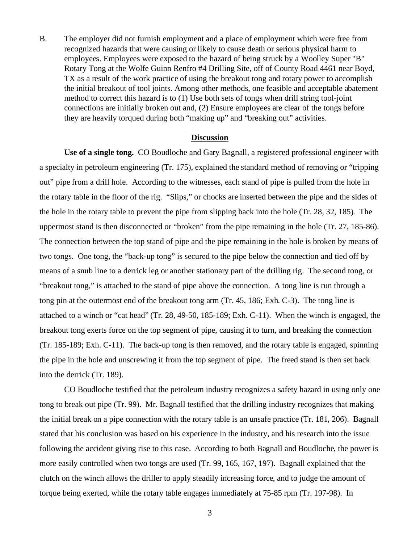B. The employer did not furnish employment and a place of employment which were free from recognized hazards that were causing or likely to cause death or serious physical harm to employees. Employees were exposed to the hazard of being struck by a Woolley Super "B" Rotary Tong at the Wolfe Guinn Renfro #4 Drilling Site, off of County Road 4461 near Boyd, TX as a result of the work practice of using the breakout tong and rotary power to accomplish the initial breakout of tool joints. Among other methods, one feasible and acceptable abatement method to correct this hazard is to (1) Use both sets of tongs when drill string tool-joint connections are initially broken out and, (2) Ensure employees are clear of the tongs before they are heavily torqued during both "making up" and "breaking out" activities.

#### **Discussion**

**Use of a single tong.** CO Boudloche and Gary Bagnall, a registered professional engineer with a specialty in petroleum engineering (Tr. 175), explained the standard method of removing or "tripping out" pipe from a drill hole. According to the witnesses, each stand of pipe is pulled from the hole in the rotary table in the floor of the rig. "Slips," or chocks are inserted between the pipe and the sides of the hole in the rotary table to prevent the pipe from slipping back into the hole (Tr. 28, 32, 185). The uppermost stand is then disconnected or "broken" from the pipe remaining in the hole (Tr. 27, 185-86). The connection between the top stand of pipe and the pipe remaining in the hole is broken by means of two tongs. One tong, the "back-up tong" is secured to the pipe below the connection and tied off by means of a snub line to a derrick leg or another stationary part of the drilling rig. The second tong, or "breakout tong," is attached to the stand of pipe above the connection. A tong line is run through a tong pin at the outermost end of the breakout tong arm (Tr. 45, 186; Exh. C-3). The tong line is attached to a winch or "cat head" (Tr. 28, 49-50, 185-189; Exh. C-11). When the winch is engaged, the breakout tong exerts force on the top segment of pipe, causing it to turn, and breaking the connection (Tr. 185-189; Exh. C-11). The back-up tong is then removed, and the rotary table is engaged, spinning the pipe in the hole and unscrewing it from the top segment of pipe. The freed stand is then set back into the derrick (Tr. 189).

CO Boudloche testified that the petroleum industry recognizes a safety hazard in using only one tong to break out pipe (Tr. 99). Mr. Bagnall testified that the drilling industry recognizes that making the initial break on a pipe connection with the rotary table is an unsafe practice (Tr. 181, 206). Bagnall stated that his conclusion was based on his experience in the industry, and his research into the issue following the accident giving rise to this case. According to both Bagnall and Boudloche, the power is more easily controlled when two tongs are used (Tr. 99, 165, 167, 197). Bagnall explained that the clutch on the winch allows the driller to apply steadily increasing force, and to judge the amount of torque being exerted, while the rotary table engages immediately at 75-85 rpm (Tr. 197-98). In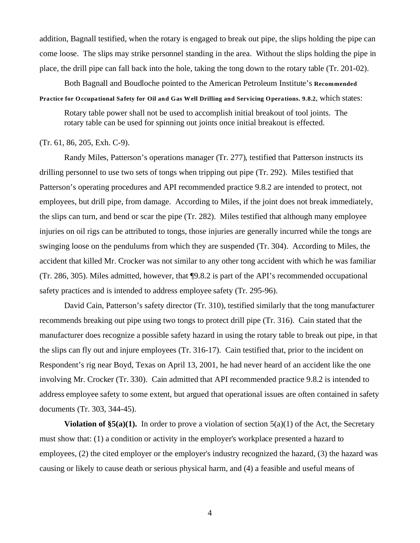addition, Bagnall testified, when the rotary is engaged to break out pipe, the slips holding the pipe can come loose. The slips may strike personnel standing in the area. Without the slips holding the pipe in place, the drill pipe can fall back into the hole, taking the tong down to the rotary table (Tr. 201-02).

Both Bagnall and Boudloche pointed to the American Petroleum Institute's **Recommended**

**Practice for Occupational Safety for Oil and Gas Well Drilling and Servicing Operations. 9.8.2,** which states:

Rotary table power shall not be used to accomplish initial breakout of tool joints. The rotary table can be used for spinning out joints once initial breakout is effected.

## (Tr. 61, 86, 205, Exh. C-9).

Randy Miles, Patterson's operations manager (Tr. 277), testified that Patterson instructs its drilling personnel to use two sets of tongs when tripping out pipe (Tr. 292). Miles testified that Patterson's operating procedures and API recommended practice 9.8.2 are intended to protect, not employees, but drill pipe, from damage. According to Miles, if the joint does not break immediately, the slips can turn, and bend or scar the pipe (Tr. 282). Miles testified that although many employee injuries on oil rigs can be attributed to tongs, those injuries are generally incurred while the tongs are swinging loose on the pendulums from which they are suspended (Tr. 304). According to Miles, the accident that killed Mr. Crocker was not similar to any other tong accident with which he was familiar (Tr. 286, 305). Miles admitted, however, that ¶9.8.2 is part of the API's recommended occupational safety practices and is intended to address employee safety (Tr. 295-96).

David Cain, Patterson's safety director (Tr. 310), testified similarly that the tong manufacturer recommends breaking out pipe using two tongs to protect drill pipe (Tr. 316). Cain stated that the manufacturer does recognize a possible safety hazard in using the rotary table to break out pipe, in that the slips can fly out and injure employees (Tr. 316-17). Cain testified that, prior to the incident on Respondent's rig near Boyd, Texas on April 13, 2001, he had never heard of an accident like the one involving Mr. Crocker (Tr. 330). Cain admitted that API recommended practice 9.8.2 is intended to address employee safety to some extent, but argued that operational issues are often contained in safety documents (Tr. 303, 344-45).

**Violation of**  $\S5(a)(1)$ **.** In order to prove a violation of section  $5(a)(1)$  of the Act, the Secretary must show that: (1) a condition or activity in the employer's workplace presented a hazard to employees, (2) the cited employer or the employer's industry recognized the hazard, (3) the hazard was causing or likely to cause death or serious physical harm, and (4) a feasible and useful means of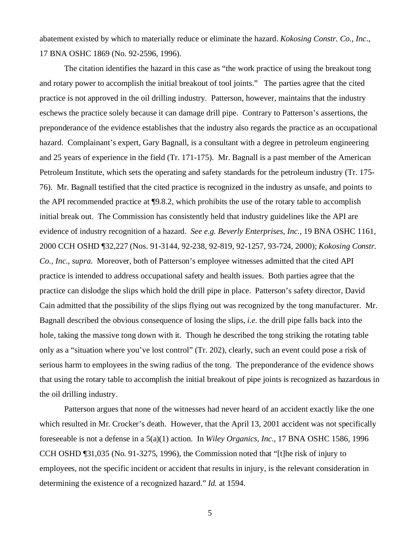abatement existed by which to materially reduce or eliminate the hazard. *Kokosing Constr. Co., Inc*., 17 BNA OSHC 1869 (No. 92-2596, 1996).

 The citation identifies the hazard in this case as "the work practice of using the breakout tong and rotary power to accomplish the initial breakout of tool joints." The parties agree that the cited practice is not approved in the oil drilling industry. Patterson, however, maintains that the industry eschews the practice solely because it can damage drill pipe. Contrary to Patterson's assertions, the preponderance of the evidence establishes that the industry also regards the practice as an occupational hazard. Complainant's expert, Gary Bagnall, is a consultant with a degree in petroleum engineering and 25 years of experience in the field (Tr. 171-175). Mr. Bagnall is a past member of the American Petroleum Institute, which sets the operating and safety standards for the petroleum industry (Tr. 175- 76). Mr. Bagnall testified that the cited practice is recognized in the industry as unsafe, and points to the API recommended practice at ¶9.8.2, which prohibits the use of the rotary table to accomplish initial break out. The Commission has consistently held that industry guidelines like the API are evidence of industry recognition of a hazard. *See e.g. Beverly Enterprises, Inc.,* 19 BNA OSHC 1161, 2000 CCH OSHD ¶32,227 (Nos. 91-3144, 92-238, 92-819, 92-1257, 93-724, 2000); *Kokosing Constr. Co., Inc., supra*. Moreover, both of Patterson's employee witnesses admitted that the cited API practice is intended to address occupational safety and health issues. Both parties agree that the practice can dislodge the slips which hold the drill pipe in place. Patterson's safety director, David Cain admitted that the possibility of the slips flying out was recognized by the tong manufacturer. Mr. Bagnall described the obvious consequence of losing the slips, *i.e.* the drill pipe falls back into the hole, taking the massive tong down with it. Though he described the tong striking the rotating table only as a "situation where you've lost control" (Tr. 202), clearly, such an event could pose a risk of serious harm to employees in the swing radius of the tong. The preponderance of the evidence shows that using the rotary table to accomplish the initial breakout of pipe joints is recognized as hazardous in the oil drilling industry.

Patterson argues that none of the witnesses had never heard of an accident exactly like the one which resulted in Mr. Crocker's death. However, that the April 13, 2001 accident was not specifically foreseeable is not a defense in a 5(a)(1) action. In *Wiley Organics, Inc.,* 17 BNA OSHC 1586, 1996 CCH OSHD ¶31,035 (No. 91-3275, 1996), the Commission noted that "[t]he risk of injury to employees, not the specific incident or accident that results in injury, is the relevant consideration in determining the existence of a recognized hazard." *Id.* at 1594.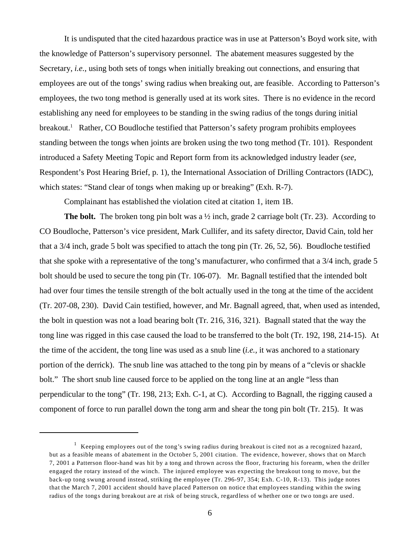It is undisputed that the cited hazardous practice was in use at Patterson's Boyd work site, with the knowledge of Patterson's supervisory personnel. The abatement measures suggested by the Secretary, *i.e.*, using both sets of tongs when initially breaking out connections, and ensuring that employees are out of the tongs' swing radius when breaking out, are feasible. According to Patterson's employees, the two tong method is generally used at its work sites. There is no evidence in the record establishing any need for employees to be standing in the swing radius of the tongs during initial breakout.<sup>1</sup> Rather, CO Boudloche testified that Patterson's safety program prohibits employees standing between the tongs when joints are broken using the two tong method (Tr. 101). Respondent introduced a Safety Meeting Topic and Report form from its acknowledged industry leader (*see,* Respondent's Post Hearing Brief, p. 1), the International Association of Drilling Contractors (IADC), which states: "Stand clear of tongs when making up or breaking" (Exh. R-7).

Complainant has established the violation cited at citation 1, item 1B.

**The bolt.** The broken tong pin bolt was a  $\frac{1}{2}$  inch, grade 2 carriage bolt (Tr. 23). According to CO Boudloche, Patterson's vice president, Mark Cullifer, and its safety director, David Cain, told her that a 3/4 inch, grade 5 bolt was specified to attach the tong pin (Tr. 26, 52, 56). Boudloche testified that she spoke with a representative of the tong's manufacturer, who confirmed that a 3/4 inch, grade 5 bolt should be used to secure the tong pin (Tr. 106-07). Mr. Bagnall testified that the intended bolt had over four times the tensile strength of the bolt actually used in the tong at the time of the accident (Tr. 207-08, 230). David Cain testified, however, and Mr. Bagnall agreed, that, when used as intended, the bolt in question was not a load bearing bolt (Tr. 216, 316, 321). Bagnall stated that the way the tong line was rigged in this case caused the load to be transferred to the bolt (Tr. 192, 198, 214-15). At the time of the accident, the tong line was used as a snub line (*i.e.,* it was anchored to a stationary portion of the derrick). The snub line was attached to the tong pin by means of a "clevis or shackle bolt." The short snub line caused force to be applied on the tong line at an angle "less than perpendicular to the tong" (Tr. 198, 213; Exh. C-1, at C). According to Bagnall, the rigging caused a component of force to run parallel down the tong arm and shear the tong pin bolt (Tr. 215). It was

 $1$  Keeping employees out of the tong's swing radius during breakout is cited not as a recognized hazard, but as a feasible means of abatement in the October 5, 2001 citation. The evidence, however, shows that on March 7, 2001 a Patterson floor-hand was hit by a tong and thrown across the floor, fracturing his forearm, when the driller engaged the rotary instead of the winch. The injured employee was expecting the breakout tong to move, but the back-up tong swung around instead, striking the employee (Tr. 296-97, 354; Exh. C-10, R-13). This judge notes that the March 7, 2001 accident should have placed Patterson on notice that employees standing within the swing radius of the tongs during breakout are at risk of being struck, regardless of whether one or two tongs are used.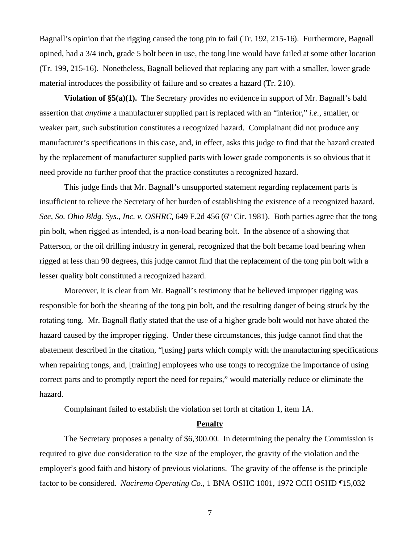Bagnall's opinion that the rigging caused the tong pin to fail (Tr. 192, 215-16). Furthermore, Bagnall opined, had a 3/4 inch, grade 5 bolt been in use, the tong line would have failed at some other location (Tr. 199, 215-16). Nonetheless, Bagnall believed that replacing any part with a smaller, lower grade material introduces the possibility of failure and so creates a hazard (Tr. 210).

**Violation of §5(a)(1).** The Secretary provides no evidence in support of Mr. Bagnall's bald assertion that *anytime* a manufacturer supplied part is replaced with an "inferior," *i.e.*, smaller, or weaker part, such substitution constitutes a recognized hazard. Complainant did not produce any manufacturer's specifications in this case, and, in effect, asks this judge to find that the hazard created by the replacement of manufacturer supplied parts with lower grade components is so obvious that it need provide no further proof that the practice constitutes a recognized hazard.

This judge finds that Mr. Bagnall's unsupported statement regarding replacement parts is insufficient to relieve the Secretary of her burden of establishing the existence of a recognized hazard. See, So. Ohio Bldg. Sys., Inc. v. OSHRC, 649 F.2d 456 (6<sup>th</sup> Cir. 1981). Both parties agree that the tong pin bolt, when rigged as intended, is a non-load bearing bolt. In the absence of a showing that Patterson, or the oil drilling industry in general, recognized that the bolt became load bearing when rigged at less than 90 degrees, this judge cannot find that the replacement of the tong pin bolt with a lesser quality bolt constituted a recognized hazard.

Moreover, it is clear from Mr. Bagnall's testimony that he believed improper rigging was responsible for both the shearing of the tong pin bolt, and the resulting danger of being struck by the rotating tong. Mr. Bagnall flatly stated that the use of a higher grade bolt would not have abated the hazard caused by the improper rigging. Under these circumstances, this judge cannot find that the abatement described in the citation, "[using] parts which comply with the manufacturing specifications when repairing tongs, and, [training] employees who use tongs to recognize the importance of using correct parts and to promptly report the need for repairs," would materially reduce or eliminate the hazard.

Complainant failed to establish the violation set forth at citation 1, item 1A.

## **Penalty**

The Secretary proposes a penalty of \$6,300.00. In determining the penalty the Commission is required to give due consideration to the size of the employer, the gravity of the violation and the employer's good faith and history of previous violations. The gravity of the offense is the principle factor to be considered. *Nacirema Operating Co*., 1 BNA OSHC 1001, 1972 CCH OSHD ¶15,032